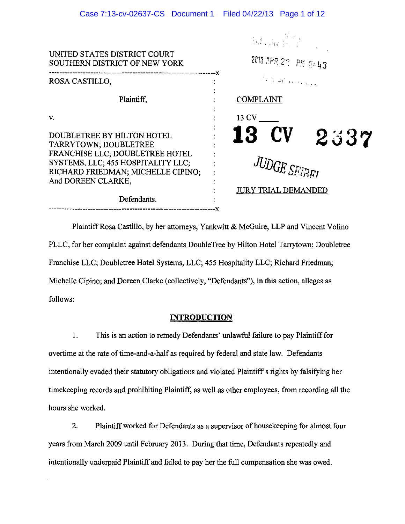| Case 7:13-cv-02637-CS  Document 1  Filed 04/22/13  Page 1 of 12                                                                                                                                         |                                                                                                                                                                                                                                                                                                                                                                                        |
|---------------------------------------------------------------------------------------------------------------------------------------------------------------------------------------------------------|----------------------------------------------------------------------------------------------------------------------------------------------------------------------------------------------------------------------------------------------------------------------------------------------------------------------------------------------------------------------------------------|
|                                                                                                                                                                                                         | $\frac{1}{N}\sum_{\substack{1\leq k\leq N\\ k\neq k\neq k\neq k\neq k\neq k\neq k\neq k}}\frac{f_{\{k\}}}{\left(f_{\{k\}}\right)^{k}}\sum_{\substack{1\leq k\leq N\\ k\neq k\neq k\neq k\neq k}}\frac{f_{\{k\}}}{\left(f_{\{k\}}\right)^{k}}\sum_{\substack{1\leq k\leq N\\ k\neq k\neq k\neq k}}\frac{f_{\{k\}}}{\left(f_{\{k\}}\right)^{k}}\sum_{\substack{1\leq k\leq N\\ k\neq k\$ |
| UNITED STATES DISTRICT COURT<br>SOUTHERN DISTRICT OF NEW YORK                                                                                                                                           | 2013 APR 22 PM 2: 43                                                                                                                                                                                                                                                                                                                                                                   |
| ROSA CASTILLO,                                                                                                                                                                                          | and the state of the state of the state of the state of the state of the state of the state of the state of the                                                                                                                                                                                                                                                                        |
| Plaintiff,                                                                                                                                                                                              | <b>COMPLAINT</b>                                                                                                                                                                                                                                                                                                                                                                       |
| v.                                                                                                                                                                                                      | 13 CV                                                                                                                                                                                                                                                                                                                                                                                  |
| DOUBLETREE BY HILTON HOTEL<br>TARRYTOWN; DOUBLETREE<br>FRANCHISE LLC; DOUBLETREE HOTEL<br>SYSTEMS, LLC; 455 HOSPITALITY LLC;<br>RICHARD FRIEDMAN; MICHELLE CIPINO;<br>And DOREEN CLARKE,<br>Defendants. | <b>13 CV</b><br>2337<br><b>JUDGE SETRET</b><br><b>JURY TRIAL DEMANDED</b>                                                                                                                                                                                                                                                                                                              |
|                                                                                                                                                                                                         |                                                                                                                                                                                                                                                                                                                                                                                        |

Plaintiff Rosa Castillo, by her attorneys, Yankwitt & McGuire, LLP and Vincent Volino PLLC, for her complaint against defendants DoubleTree by Hilton Hotel Tarrytown; Doubletree Franchise LLC; Doubletree Hotel Systems, LLC; 455 Hospitality LLC; Richard Friedman; Michelle Cipino; and Doreen Clarke (collectively, "Defendants"), in this action, alleges as follows:

## **INTRODUCTION**

I. This is an action to remedy Defendants' unlawful failure to pay Plaintiff for overtime at the rate of time-and-a-half as required by federal and state law. Defendants intentionally evaded their statutory obligations and violated Plaintiff's rights by falsifying her timekeeping records and prohibiting Plaintiff, as well as other employees, from recording all the hours she worked.

2. Plaintiff worked for Defendants as a supervisor of housekeeping for almost four years from March 2009 until February 2013. During that time, Defendants repeatedly and intentionally underpaid Plaintiff and failed to pay her the full compensation she was owed.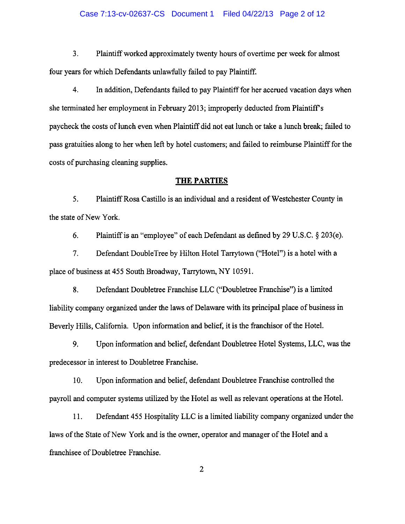### Case 7:13-cv-02637-CS Document 1 Filed 04/22/13 Page 2 of 12

3. Plaintiff worked approximately twenty hours of overtime per week for almost four years for which Defendants unlawfully failed to pay Plaintiff.

4. In addition, Defendants failed to pay Plaintiff for her accrued vacation days when she terminated her employment in February 2013; improperly deducted from Plaintiffs paycheck the costs of lunch even when Plaintiff did not eat lunch or take a lunch break; failed to pass gratuities along to her when left by hotel customers; and failed to reimburse Plaintiff for the costs of purchasing cleaning supplies.

### THE PARTIES

5. Plaintiff Rosa Castillo is an individual and a resident of Westchester County in the state of New York.

6. Plaintiff is an "employee" of each Defendant as defined by 29 U.S.C. § 203(e).

7. Defendant DoubleTree by Hilton Hotel Tarrytown ("Hotel") is a hotel with a place of business at 455 South Broadway, Tarrytown, NY 10591.

8. Defendant Doubletree Franchise LLC ("Doubletree Franchise") is a limited liability company organized under the laws of Delaware with its principal place of business in Beverly Hills, California. Upon information and belief, it is the franchisor of the Hotel.

9. Upon information and belief, defendant Doubletree Hotel Systems, LLC, was the predecessor in interest to Doubletree Franchise.

10. Upon information and belief, defendant Doubletree Franchise controlled the payroll and computer systems utilized by the Hotel as well as relevant operations at the Hotel.

11. Defendant 455 Hospitality LLC is a limited liability company organized under the laws of the State of New York and is the owner, operator and manager of the Hotel and a franchisee of Doubletree Franchise.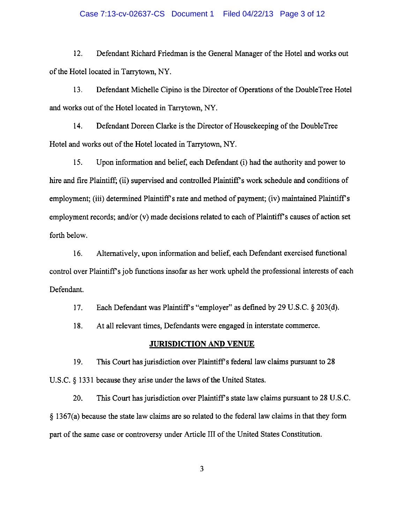### Case 7:13-cv-02637-CS Document 1 Filed 04/22/13 Page 3 of 12

12. Defendant Richard Friedman is the General Manager of the Hotel and works out of the Hotel located in Tarrytown, NY.

13. Defendant Michelle Cipino is the Director of Operations of the DoubleTree Hotel and works out of the Hotel located in Tarrytown, NY.

14. Defendant Doreen Clarke is the Director of Housekeeping of the DoubleTree Hotel and works out of the Hotel located in Tarrytown, NY.

15. Upon information and belief, each Defendant (i) had the authority and power to hire and fire Plaintiff; (ii) supervised and controlled Plaintiff's work schedule and conditions of employment; (iii) determined Plaintiff's rate and method of payment; (iv) maintained Plaintiff's employment records; and/or (v) made decisions related to each of Plaintiff's causes of action set forth below.

16. Alternatively, upon information and belief, each Defendant exercised functional control over Plaintiff's job functions insofar as her work upheld the professional interests of each Defendant.

17. Each Defendant was Plaintiff's "employer" as defined by 29 U.S.C. § 203(d).

18. At all relevant times, Defendants were engaged in interstate commerce.

### **JURISDICTION AND VENUE**

19. This Court has jurisdiction over Plaintiff's federal law claims pursuant to 28 U.S.C. § 1331 because they arise under the laws of the United States.

20. This Court has jurisdiction over Plaintiff's state law claims pursuant to 28 U.S.C. § 1367(a) because the state law claims are so related to the federal law claims in that they form part of the same case or controversy under Article III of the United States Constitution.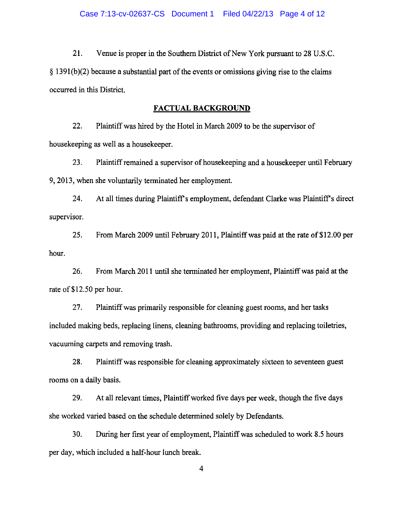21. Venue is proper in the Southern District of New York pursuant to 28 U.S.C.  $§$  1391(b)(2) because a substantial part of the events or omissions giving rise to the claims occurred in this District.

### FACTUAL BACKGROUND

22. Plaintiff was hired by the Hotel in March 2009 to be the supervisor of housekeeping as well as a housekeeper.

23. Plaintiff remained a supervisor of housekeeping and a housekeeper until February 9,2013, when she voluntarily terminated her employment.

24. At all times during Plaintiff's employment, defendant Clarke was Plaintiff's direct supervisor

25. From March 2009 until February 2011, Plaintiff was paid at the rate of\$12.00 per hour.

26. From March 2011 until she terminated her employment, Plaintiff was paid at the rate of \$12.50 per hour.

27. Plaintiff was primarily responsible for cleaning guest rooms, and her tasks included making beds, replacing linens, cleaning bathrooms, providing and replacing toiletries, vacuuming carpets and removing trash.

28. Plaintiff was responsible for cleaning approximately sixteen to seventeen guest rooms on a daily basis.

29. At all relevant times, Plaintiff worked five days per week, though the five days she worked varied based on the schedule determined solely by Defendants.

30. During her first year of employment, Plaintiff was scheduled to work 8.5 hours per day, which included a half-hour lunch break.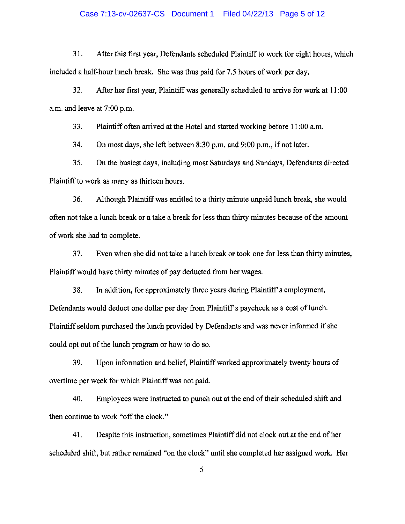### Case 7:13-cv-02637-CS Document 1 Filed 04/22/13 Page 5 of 12

31. After this first year, Defendants scheduled Plaintiff to work for eight hours, which included a half-hour lunch break. She was thus paid for 7.5 hours of work per day.

32. After her first year, Plaintiff was generally scheduled to arrive for work at 11:00 a.m. and leave at 7:00 p.m.

33. Plaintiff often arrived at the Hotel and started working before 11:00 a.m.

34. On most days, she left between 8:30 p.m. and 9:00 p.m., if not later.

35. On the busiest days, including most Saturdays and Sundays, Defendants directed Plaintiff to work as many as thirteen hours.

36. Although Plaintiff was entitled to a thirty minute unpaid lunch break, she would often not take a lunch break or a take a break for less than thirty minutes because of the amount of work she had to complete.

37. Even when she did not take a lunch break or took one for less than thirty minutes, Plaintiff would have thirty minutes of pay deducted from her wages.

38. In addition, for approximately three years during Plaintiff's employment, Defendants would deduct one dollar per day from Plaintiff s paycheck as a cost of lunch. Plaintiff seldom purchased the lunch provided by Defendants and was never informed if she could opt out of the lunch program or how to do so.

39. Upon information and belief, Plaintiff worked approximately twenty hours of overtime per week for which Plaintiff was not paid.

40. Employees were instructed to punch out at the end of their scheduled shift and then continue to work "off the clock."

41. Despite this instruction, sometimes Plaintiff did not clock out at the end of her scheduled shift, but rather remained "on the clock" until she completed her assigned work. Her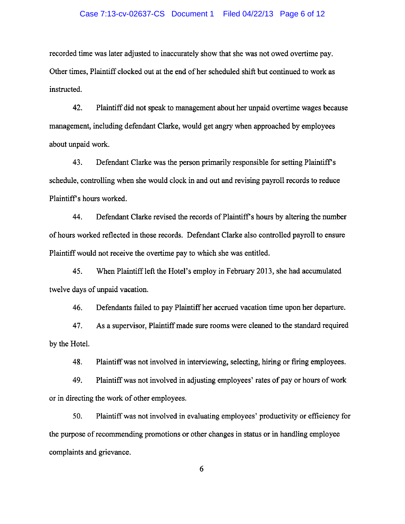### Case 7:13-cv-02637-CS Document 1 Filed 04/22/13 Page 6 of 12

recorded time was later adjusted to inaccurately show that she was not owed overtime pay. Other times, Plaintiff clocked out at the end of her scheduled shift but continued to work as instructed.

42. Plaintiff did not speak to management about her unpaid overtime wages because management, including defendant Clarke, would get angry when approached by employees about unpaid work.

43. Defendant Clarke was the person primarily responsible for setting Plaintiff's schedule, controlling when she would clock in and out and revising payroll records to reduce Plaintiff's hours worked.

44. Defendant Clarke revised the records of Plaintiffs hours by altering the number of hours worked reflected in those records. Defendant Clarke also controlled payroll to ensure Plaintiff would not receive the overtime pay to which she was entitled.

45. When Plaintiff left the Hotel's employ in February 2013, she had accumulated twelve days of unpaid vacation.

46. Defendants failed to pay Plaintiff her accrued vacation time upon her departure.

47. As a supervisor, Plaintiff made sure rooms were cleaned to the standard required by the Hotel.

48. Plaintiff was not involved in interviewing, selecting, hiring or firing employees.

49. Plaintiff was not involved in adjusting employees' rates of payor hours of work or in directing the work of other employees.

50. Plaintiff was not involved in evaluating employees' productivity or efficiency for the purpose of recommending promotions or other changes in status or in handling employee complaints and grievance.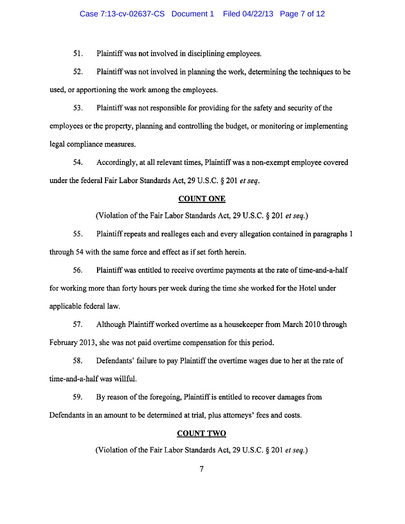## Case 7:13-cv-02637-CS Document 1 Filed 04/22/13 Page 7 of 12

51. Plaintiff was not involved in disciplining employees.

52. Plaintiff was not involved in planning the work, determining the techniques to be used, or apportioning the work among the employees.

53. Plaintiff was not responsible for providing for the safety and security of the employees or the property, planning and controlling the budget, or monitoring or implementing legal compliance measures.

54. Accordingly, at all relevant times, Plaintiff was a non-exempt employee covered under the federal Fair Labor Standards Act, 29 U.S.C. § 201 *et seq.* 

### COUNT ONE

(Violation of the Fair Labor Standards Act, 29 U.S.C. § 201 *et seq.)* 

55. Plaintiff repeats and realleges each and every allegation contained in paragraphs 1 through 54 with the same force and effect as if set forth herein.

56. Plaintiff was entitled to receive overtime payments at the rate of time-and-a-half for working more than forty hours per week during the time she worked for the Hotel under applicable federal law.

57. Although Plaintiff worked overtime as a housekeeper from March 2010 through February 2013, she was not paid overtime compensation for this period.

58. Defendants' failure to pay Plaintiff the overtime wages due to her at the rate of time-and-a-half was willful.

59. By reason of the foregoing, Plaintiff is entitled to recover damages from Defendants in an amount to be determined at trial, plus attorneys' fees and costs.

# COUNT TWO

(Violation of the Fair Labor Standards Act, 29 U.S.C. § 201 *et seq.)*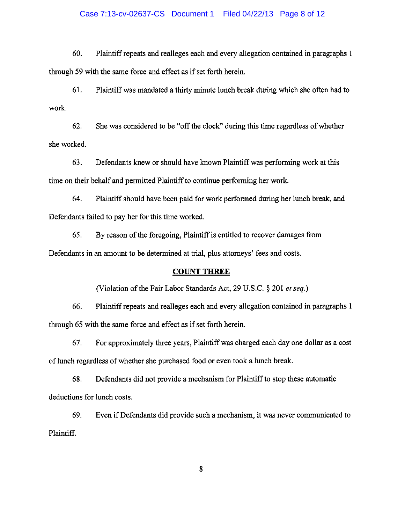### Case 7:13-cv-02637-CS Document 1 Filed 04/22/13 Page 8 of 12

60. Plaintiff repeats and realleges each and every allegation contained in paragraphs I through 59 with the same force and effect as if set forth herein.

61. Plaintiff was mandated a thirty minute lunch break during which she often had to work.

62. She was considered to be "off the clock" during this time regardless of whether she worked.

63. Defendants knew or should have known Plaintiff was performing work at this time on their behalf and permitted Plaintiff to continue performing her work.

64. Plaintiff should have been paid for work performed during her lunch break, and Defendants failed to pay her for this time worked.

65. By reason of the foregoing, Plaintiff is entitled to recover damages from Defendants in an amount to be determined at trial, plus attorneys' fees and costs.

# COUNT THREE

(Violation of the Fair Labor Standards Act, 29 u.s.c. § 201 *et seq.)* 

66. Plaintiff repeats and realleges each and every allegation contained in paragraphs 1 through 65 with the same force and effect as if set forth herein.

67. For approximately three years, Plaintiff was charged each day one dollar as a cost of lunch regardless of whether she purchased food or even took a lunch break.

68. Defendants did not provide a mechanism for Plaintiff to stop these automatic deductions for lunch costs.

69. Even if Defendants did provide such a mechanism, it was never communicated to Plaintiff.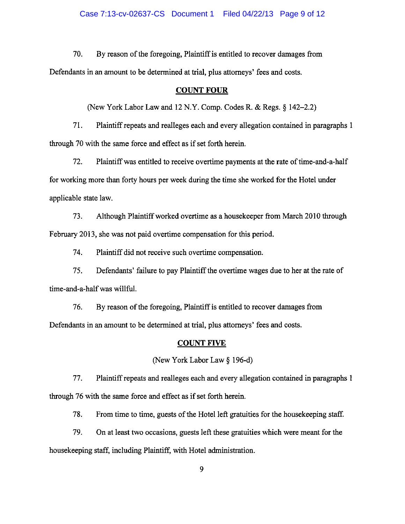70. By reason of the foregoing, Plaintiff is entitled to recover damages from Defendants in an amount to be determined at trial, plus attorneys' fees and costs.

# COUNT FOUR

(New York Labor Law and 12 N.Y. Comp. Codes R. & Regs. § 142-2.2)

71. Plaintiff repeats and realleges each and every allegation contained in paragraphs 1 through 70 with the same force and effect as if set forth herein.

72. Plaintiff was entitled to receive overtime payments at the rate of time-and-a-half for working more than forty hours per week during the time she worked for the Hotel under applicable state law.

73. Although Plaintiff worked overtime as a housekeeper from March 2010 through February 2013, she was not paid overtime compensation for this period.

74. Plaintiff did not receive such overtime compensation.

75. Defendants' failure to pay Plaintiff the overtime wages due to her at the rate of time-and-a-half was willful.

76. By reason of the foregoing, Plaintiff is entitled to recover damages from Defendants in an amount to be determined at trial, plus attorneys' fees and costs.

# COUNT FIVE

(New York Labor Law § 196-d)

77. Plaintiff repeats and realleges each and every allegation contained in paragraphs 1 through 76 with the same force and effect as if set forth herein.

78. From time to time, guests of the Hotel left gratuities for the house keeping staff.

79. On at least two occasions, guests left these gratuities which were meant for the housekeeping staff, including Plaintiff, with Hotel administration.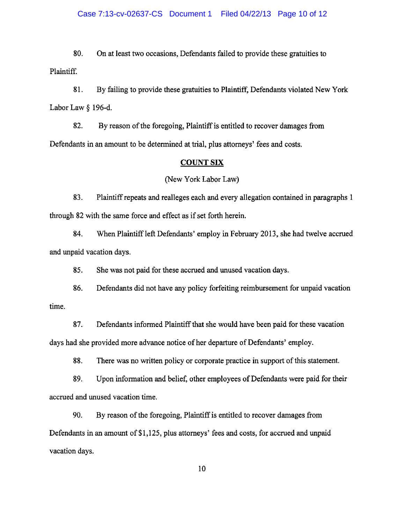80. On at least two occasions, Defendants failed to provide these gratuities to Plaintiff.

81. By failing to provide these gratuities to Plaintiff, Defendants violated New York Labor Law § 196-d.

82. By reason of the foregoing, Plaintiff is entitled to recover damages from Defendants in an amount to be determined at trial, plus attorneys' fees and costs.

### COUNT SIX

### (New York Labor Law)

83. Plaintiff repeats and realleges each and every allegation contained in paragraphs 1 through 82 with the same force and effect as if set forth herein.

84. When Plaintiff left Defendants' employ in February 2013, she had twelve accrued and unpaid vacation days.

85. She was not paid for these accrued and unused vacation days.

86. Defendants did not have any policy forfeiting reimbursement for unpaid vacation time.

87. Defendants informed Plaintiff that she would have been paid for these vacation days had she provided more advance notice of her departure of Defendants' employ.

88. There was no written policy or corporate practice in support of this statement.

89. Upon information and belief, other employees of Defendants were paid for their accrued and unused vacation time.

90. By reason of the foregoing, Plaintiff is entitled to recover damages from Defendants in an amount of \$1,125, plus attorneys' fees and costs, for accrued and unpaid vacation days.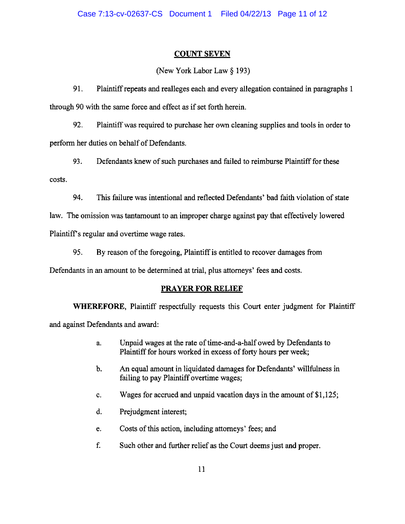# COUNT SEVEN

(New York Labor Law § 193)

91. Plaintiff repeats and realleges each and every allegation contained in paragraphs 1 through 90 with the same force and effect as if set forth herein.

92. Plaintiff was required to purchase her own cleaning supplies and tools in order to perform her duties on behalf of Defendants.

93. Defendants knew of such purchases and failed to reimburse Plaintiff for these costs.

94. This failure was intentional and reflected Defendants' bad faith violation of state

law. The omission was tantamount to an improper charge against pay that effectively lowered

Plaintiff's regular and overtime wage rates.

95. By reason of the foregoing, Plaintiff is entitled to recover damages from

Defendants in an amount to be determined at trial, plus attorneys' fees and costs.

# **PRAYER FOR RELIEF**

**WHEREFORE,** Plaintiff respectfully requests this Court enter judgment for Plaintiff and against Defendants and award:

- a. Unpaid wages at the rate of time-and-a-half owed by Defendants to Plaintiff for hours worked in excess of forty hours per week;
- b. An equal amount in liquidated damages for Defendants' willfulness in failing to pay Plaintiff overtime wages;
- c. Wages for accrued and unpaid vacation days in the amount of  $$1,125$ ;
- d. Prejudgment interest;
- e. Costs of this action, including attorneys' fees; and
- f. Such other and further relief as the Court deems just and proper.